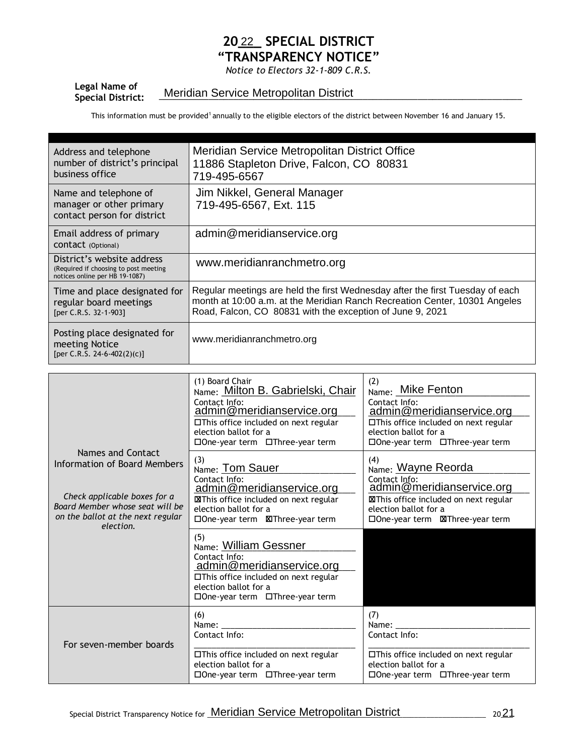## 2022\_ SPECIAL DISTRICT "TRANSPARENCY NOTICE"

Notice to Electors 32-1-809 C.R.S.

## Legal Name of<br>Special District: Legar Name of **Exercician Meridian Service Metropolitan District** Processor Contains a Service Metropolitan District

This information must be provided<sup>1</sup> annually to the eligible electors of the district between November 16 and January 15.

| Address and telephone<br>number of district's principal<br>business office                            | Meridian Service Metropolitan District Office<br>11886 Stapleton Drive, Falcon, CO 80831<br>719-495-6567                                                                                                                 |
|-------------------------------------------------------------------------------------------------------|--------------------------------------------------------------------------------------------------------------------------------------------------------------------------------------------------------------------------|
| Name and telephone of<br>manager or other primary<br>contact person for district                      | Jim Nikkel, General Manager<br>719-495-6567, Ext. 115                                                                                                                                                                    |
| Email address of primary<br>CONTACT (Optional)                                                        | admin@meridianservice.org                                                                                                                                                                                                |
| District's website address<br>(Required if choosing to post meeting<br>notices online per HB 19-1087) | www.meridianranchmetro.org                                                                                                                                                                                               |
| Time and place designated for<br>regular board meetings<br>[per C.R.S. 32-1-903]                      | Regular meetings are held the first Wednesday after the first Tuesday of each<br>month at 10:00 a.m. at the Meridian Ranch Recreation Center, 10301 Angeles<br>Road, Falcon, CO 80831 with the exception of June 9, 2021 |
| Posting place designated for<br>meeting Notice<br>[per C.R.S. 24-6-402(2)(c)]                         | www.meridianranchmetro.org                                                                                                                                                                                               |

|                                                                                                                                                                        | (1) Board Chair<br>Name: Milton B. Gabrielski, Chair<br>Contact Info:<br>admin@meridianservice.org<br>□This office included on next regular<br>election ballot for a<br>$\Box$ One-year term $\Box$ Three-year term | (2)<br>Name: Mike Fenton<br>Contact Info:<br>admin@meridianservice.org<br>□This office included on next regular<br>election ballot for a<br>$\square$ One-year term $\square$ Three-year term |
|------------------------------------------------------------------------------------------------------------------------------------------------------------------------|---------------------------------------------------------------------------------------------------------------------------------------------------------------------------------------------------------------------|-----------------------------------------------------------------------------------------------------------------------------------------------------------------------------------------------|
| Names and Contact<br>Information of Board Members<br>Check applicable boxes for a<br>Board Member whose seat will be<br>on the ballot at the next regular<br>election. | (3)<br>Name: Tom Sauer<br>Contact Info:<br><u>admin@meridianservice.org</u><br><b>XIThis office included on next regular</b><br>election ballot for a                                                               | (4)<br>Name: Wayne Reorda<br>Contact Info:<br>admin@meridianservice.org<br>XIThis office included on next regular<br>election ballot for a                                                    |
|                                                                                                                                                                        | (5)<br>Name: William Gessner<br>Contact Info:<br>admin@meridianservice.org<br>$\Box$ This office included on next regular<br>election ballot for a<br>□One-year term □Three-year term                               |                                                                                                                                                                                               |
| For seven-member boards                                                                                                                                                | (6)<br>Name:<br>Contact Info:<br>□This office included on next regular<br>election ballot for a<br>$\Box$ One-year term $\Box$ Three-year term                                                                      | (7)<br>Name:<br>Contact Info:<br>□This office included on next regular<br>election ballot for a<br>□One-year term □Three-year term                                                            |